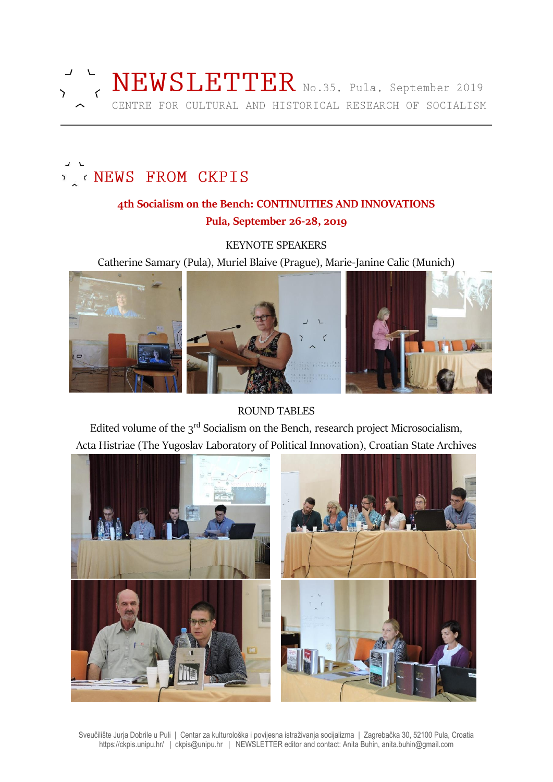

#### NEWS FROM CKPIS  $\mathcal{L}$

## **4th Socialism on the Bench: CONTINUITIES AND INNOVATIONS Pula, September 26-28, 2019**

KEYNOTE SPEAKERS

Catherine Samary (Pula), Muriel Blaive (Prague), Marie-Janine Calic (Munich)



ROUND TABLES

Edited volume of the 3<sup>rd</sup> Socialism on the Bench, research project Microsocialism, Acta Histriae (The Yugoslav Laboratory of Political Innovation), Croatian State Archives



Sveučilište Jurja Dobrile u Puli | Centar za kulturološka i povijesna istraživanja socijalizma | Zagrebačka 30, 52100 Pula, Croatia https://ckpis.unipu.hr/ | ckpis@unipu.hr | NEWSLETTER editor and contact: Anita Buhin, anita.buhin@gmail.com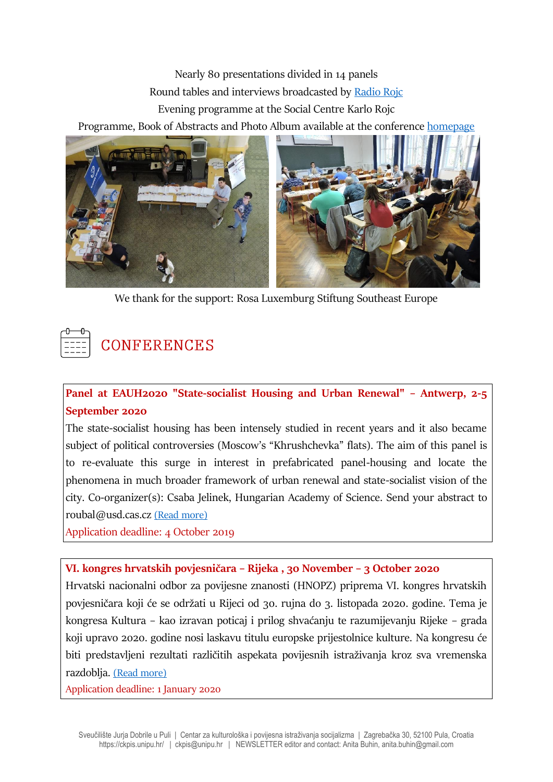Nearly 80 presentations divided in 14 panels Round tables and interviews broadcasted by [Radio Rojc](http://radio.rojc.eu/) Evening programme at the Social Centre Karlo Rojc

Programme, Book of Abstracts and Photo Album available at the conference [homepage](https://ckpis.unipu.hr/ckpis/en/socialism_on_the_bench/2019)



We thank for the support: Rosa Luxemburg Stiftung Southeast Europe



**Panel at EAUH2020 "State-socialist Housing and Urban Renewal" – Antwerp, 2-5 September 2020**

The state-socialist housing has been intensely studied in recent years and it also became subject of political controversies (Moscow's "Khrushchevka" flats). The aim of this panel is to re-evaluate this surge in interest in prefabricated panel-housing and locate the phenomena in much broader framework of urban renewal and state-socialist vision of the city. Co-organizer(s): Csaba Jelinek, Hungarian Academy of Science. Send your abstract to roubal@usd.cas.cz [\(Read more\)](https://www.uantwerpen.be/en/conferences/eauh2020/sessions/sessions-overview/session-type/specialist-sessions/?fbclid=IwAR1DzBLuWgoaOm27dsE9zEPJo06V1OxJ8gHVkf4A59r2fXiZ7bfKAVTZimg)

Application deadline: 4 October 2019

### **VI. kongres hrvatskih povjesničara – Rijeka , 30 November – 3 October 2020**

Hrvatski nacionalni odbor za povijesne znanosti (HNOPZ) priprema VI. kongres hrvatskih povjesničara koji će se održati u Rijeci od 30. rujna do 3. listopada 2020. godine. Tema je kongresa Kultura – kao izravan poticaj i prilog shvaćanju te razumijevanju Rijeke – grada koji upravo 2020. godine nosi laskavu titulu europske prijestolnice kulture. Na kongresu će biti predstavljeni rezultati različitih aspekata povijesnih istraživanja kroz sva vremenska razdoblja. [\(Read more\)](http://www.historiografija.hr/?p=16441&fbclid=IwAR0d7lRQRYAdsPOT_dN7uRvXLGFbKSr8b5RRHhYShduhkZr2vPDKp1VJvfg)

Application deadline: 1 January 2020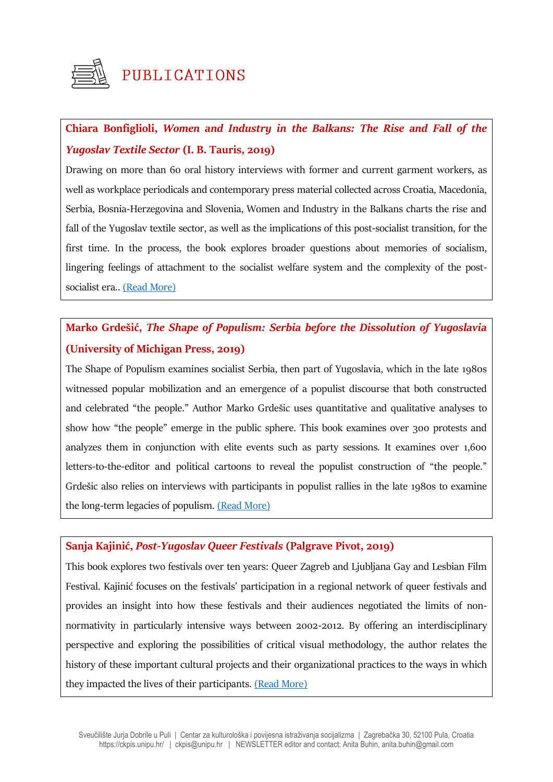

# **Chiara Bonfiglioli,** *Women and Industry in the Balkans: The Rise and Fall of the Yugoslav Textile Sector* **(I. B. Tauris, 2019)**

Drawing on more than 60 oral history interviews with former and current garment workers, as well as workplace periodicals and contemporary press material collected across Croatia, Macedonia, Serbia, Bosnia-Herzegovina and Slovenia, Women and Industry in the Balkans charts the rise and fall of the Yugoslav textile sector, as well as the implications of this post-socialist transition, for the first time. In the process, the book explores broader questions about memories of socialism, lingering feelings of attachment to the socialist welfare system and the complexity of the postsocialist era.. [\(Read More\)](https://www.bloomsbury.com/us/women-and-industry-in-the-balkans-9781784539603/)

# **Marko Grdešić,** *The Shape of Populism: Serbia before the Dissolution of Yugoslavia* **(University of Michigan Press, 2019)**

The Shape of Populism examines socialist Serbia, then part of Yugoslavia, which in the late 1980s witnessed popular mobilization and an emergence of a populist discourse that both constructed and celebrated "the people." Author Marko Grdešic uses quantitative and qualitative analyses to show how "the people" emerge in the public sphere. This book examines over 300 protests and analyzes them in conjunction with elite events such as party sessions. It examines over 1,600 letters-to-the-editor and political cartoons to reveal the populist construction of "the people." Grdešic also relies on interviews with participants in populist rallies in the late 1980s to examine the long-term legacies of populism. [\(Read More\)](https://www.press.umich.edu/9753177/shape_of_populism)

#### **Sanja Kajinić,** *Post-Yugoslav Queer Festivals* **(Palgrave Pivot, 2019)**

This book explores two festivals over ten years: Queer Zagreb and Ljubljana Gay and Lesbian Film Festival. Kajinić focuses on the festivals' participation in a regional network of queer festivals and provides an insight into how these festivals and their audiences negotiated the limits of nonnormativity in particularly intensive ways between 2002-2012. By offering an interdisciplinary perspective and exploring the possibilities of critical visual methodology, the author relates the history of these important cultural projects and their organizational practices to the ways in which they impacted the lives of their participants. [\(Read More\)](https://link.springer.com/book/10.1007/978-3-030-28231-8?fbclid=IwAR2ROqevspoMtTo5cvdhGjC2YgKzQoyKcp1rMuSStg52GA7QTHiN_gtx1dM#about)